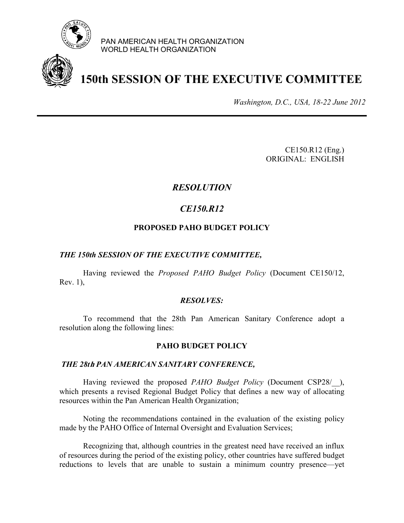

PAN AMERICAN HEALTH ORGANIZATION WORLD HEALTH ORGANIZATION



# **150th SESSION OF THE EXECUTIVE COMMITTEE**

*Washington, D.C., USA, 18-22 June 2012*

CE150.R12 (Eng.) ORIGINAL: ENGLISH

# *RESOLUTION*

# *CE150.R12*

### **PROPOSED PAHO BUDGET POLICY**

#### *THE 150th SESSION OF THE EXECUTIVE COMMITTEE,*

 Having reviewed the *Proposed PAHO Budget Policy* (Document CE150/12, Rev. 1),

#### *RESOLVES:*

 To recommend that the 28th Pan American Sanitary Conference adopt a resolution along the following lines:

#### **PAHO BUDGET POLICY**

#### *THE 28t***h** *PAN AMERICAN SANITARY CONFERENCE,*

 Having reviewed the proposed *PAHO Budget Policy* (Document CSP28/\_\_), which presents a revised Regional Budget Policy that defines a new way of allocating resources within the Pan American Health Organization;

 Noting the recommendations contained in the evaluation of the existing policy made by the PAHO Office of Internal Oversight and Evaluation Services;

Recognizing that, although countries in the greatest need have received an influx of resources during the period of the existing policy, other countries have suffered budget reductions to levels that are unable to sustain a minimum country presence—yet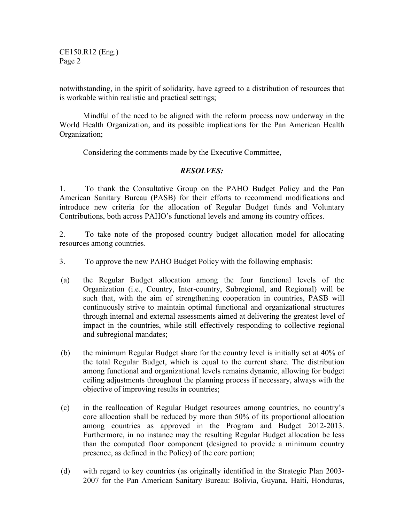CE150.R12 (Eng.) Page 2

notwithstanding, in the spirit of solidarity, have agreed to a distribution of resources that is workable within realistic and practical settings;

Mindful of the need to be aligned with the reform process now underway in the World Health Organization, and its possible implications for the Pan American Health Organization;

Considering the comments made by the Executive Committee,

## *RESOLVES:*

1. To thank the Consultative Group on the PAHO Budget Policy and the Pan American Sanitary Bureau (PASB) for their efforts to recommend modifications and introduce new criteria for the allocation of Regular Budget funds and Voluntary Contributions, both across PAHO's functional levels and among its country offices.

2. To take note of the proposed country budget allocation model for allocating resources among countries.

- 3. To approve the new PAHO Budget Policy with the following emphasis:
- (a) the Regular Budget allocation among the four functional levels of the Organization (i.e., Country, Inter-country, Subregional, and Regional) will be such that, with the aim of strengthening cooperation in countries, PASB will continuously strive to maintain optimal functional and organizational structures through internal and external assessments aimed at delivering the greatest level of impact in the countries, while still effectively responding to collective regional and subregional mandates;
- (b) the minimum Regular Budget share for the country level is initially set at 40% of the total Regular Budget, which is equal to the current share. The distribution among functional and organizational levels remains dynamic, allowing for budget ceiling adjustments throughout the planning process if necessary, always with the objective of improving results in countries;
- (c) in the reallocation of Regular Budget resources among countries, no country's core allocation shall be reduced by more than 50% of its proportional allocation among countries as approved in the Program and Budget 2012-2013. Furthermore, in no instance may the resulting Regular Budget allocation be less than the computed floor component (designed to provide a minimum country presence, as defined in the Policy) of the core portion;
- (d) with regard to key countries (as originally identified in the Strategic Plan 2003- 2007 for the Pan American Sanitary Bureau: Bolivia, Guyana, Haiti, Honduras,